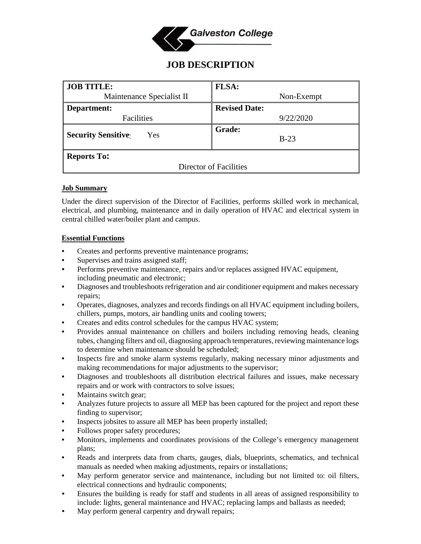

# **JOB DESCRIPTION**

| <b>JOB TITLE:</b>                 | <b>FLSA:</b>            |
|-----------------------------------|-------------------------|
| Maintenance Specialist II         | Non-Exempt              |
| Department:                       | <b>Revised Date:</b>    |
| Facilities                        | 9/22/2020               |
| <b>Security Sensitive:</b><br>Yes | <b>Grade:</b><br>$B-23$ |
| <b>Reports To:</b>                |                         |
| Director of Facilities            |                         |

#### **Job Summary**

Under the direct supervision of the Director of Facilities, performs skilled work in mechanical, electrical, and plumbing, maintenance and in daily operation of HVAC and electrical system in central chilled water/boiler plant and campus.

### **Essential Functions**

- Creates and performs preventive maintenance programs;
- Supervises and trains assigned staff;
- Performs preventive maintenance, repairs and/or replaces assigned HVAC equipment, including pneumatic and electronic;
- Diagnoses and troubleshoots refrigeration and air conditioner equipment and makes necessary repairs;
- Operates, diagnoses, analyzes and records findings on all HVAC equipment including boilers, chillers, pumps, motors, air handling units and cooling towers;
- Creates and edits control schedules for the campus HVAC system;
- Provides annual maintenance on chillers and boilers including removing heads, cleaning tubes, changing filters and oil, diagnosing approach temperatures, reviewing maintenance logs to determine when maintenance should be scheduled;
- Inspects fire and smoke alarm systems regularly, making necessary minor adjustments and making recommendations for major adjustments to the supervisor;
- Diagnoses and troubleshoots all distribution electrical failures and issues, make necessary repairs and or work with contractors to solve issues;
- Maintains switch gear;
- Analyzes future projects to assure all MEP has been captured for the project and report these finding to supervisor;
- Inspects jobsites to assure all MEP has been properly installed;
- Follows proper safety procedures;
- Monitors, implements and coordinates provisions of the College's emergency management plans;
- Reads and interprets data from charts, gauges, dials, blueprints, schematics, and technical manuals as needed when making adjustments, repairs or installations;
- May perform generator service and maintenance, including but not limited to: oil filters, electrical connections and hydraulic components;
- Ensures the building is ready for staff and students in all areas of assigned responsibility to include: lights, general maintenance and HVAC; replacing lamps and ballasts as needed;
- May perform general carpentry and drywall repairs;